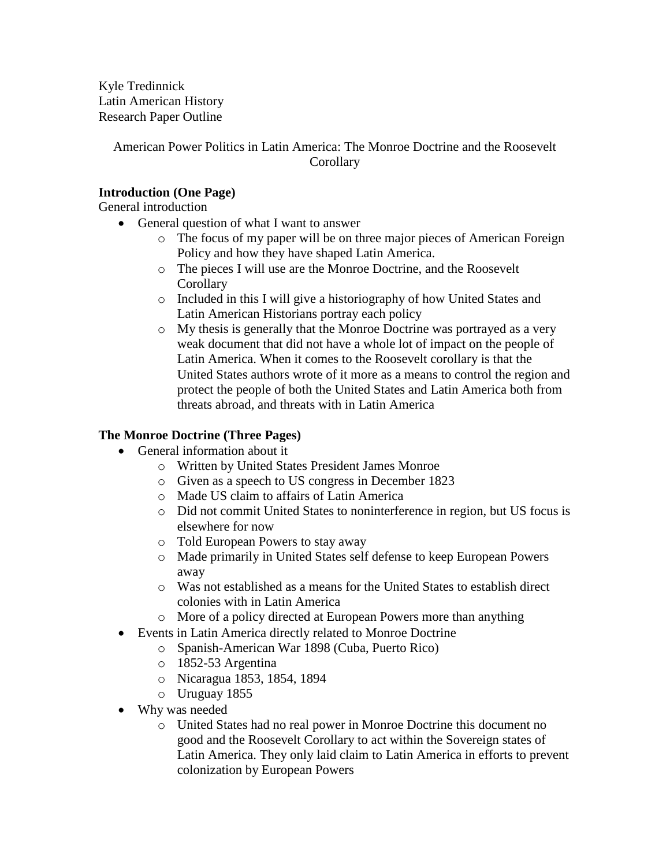Kyle Tredinnick Latin American History Research Paper Outline

> American Power Politics in Latin America: The Monroe Doctrine and the Roosevelt **Corollary**

## **Introduction (One Page)**

General introduction

- General question of what I want to answer
	- o The focus of my paper will be on three major pieces of American Foreign Policy and how they have shaped Latin America.
	- o The pieces I will use are the Monroe Doctrine, and the Roosevelt **Corollary**
	- o Included in this I will give a historiography of how United States and Latin American Historians portray each policy
	- o My thesis is generally that the Monroe Doctrine was portrayed as a very weak document that did not have a whole lot of impact on the people of Latin America. When it comes to the Roosevelt corollary is that the United States authors wrote of it more as a means to control the region and protect the people of both the United States and Latin America both from threats abroad, and threats with in Latin America

### **The Monroe Doctrine (Three Pages)**

- General information about it
	- o Written by United States President James Monroe
	- o Given as a speech to US congress in December 1823
	- o Made US claim to affairs of Latin America
	- o Did not commit United States to noninterference in region, but US focus is elsewhere for now
	- o Told European Powers to stay away
	- o Made primarily in United States self defense to keep European Powers away
	- o Was not established as a means for the United States to establish direct colonies with in Latin America
	- o More of a policy directed at European Powers more than anything
- Events in Latin America directly related to Monroe Doctrine
	- o Spanish-American War 1898 (Cuba, Puerto Rico)
	- o 1852-53 Argentina
	- o Nicaragua 1853, 1854, 1894
	- o Uruguay 1855
- Why was needed
	- o United States had no real power in Monroe Doctrine this document no good and the Roosevelt Corollary to act within the Sovereign states of Latin America. They only laid claim to Latin America in efforts to prevent colonization by European Powers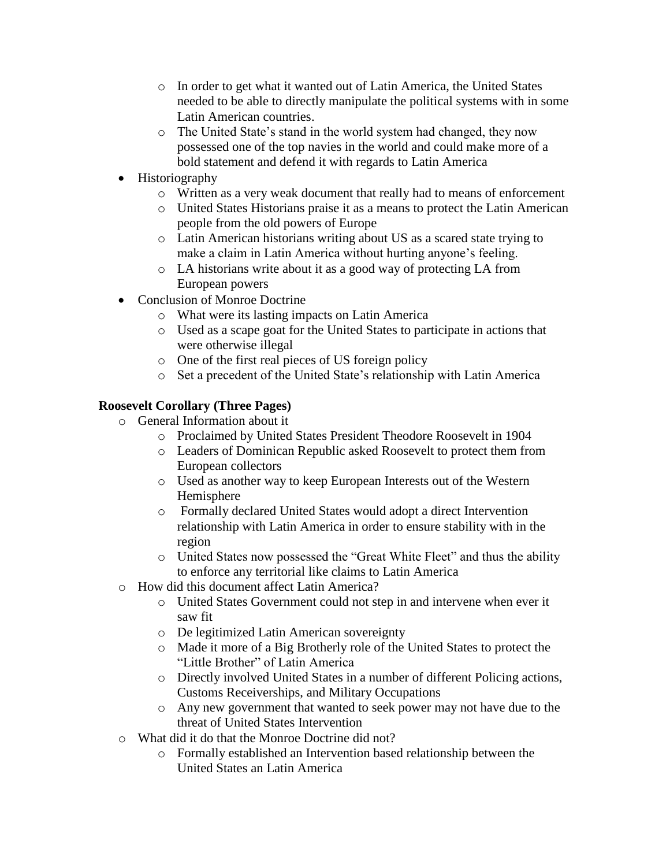- o In order to get what it wanted out of Latin America, the United States needed to be able to directly manipulate the political systems with in some Latin American countries.
- o The United State's stand in the world system had changed, they now possessed one of the top navies in the world and could make more of a bold statement and defend it with regards to Latin America
- Historiography
	- o Written as a very weak document that really had to means of enforcement
	- o United States Historians praise it as a means to protect the Latin American people from the old powers of Europe
	- o Latin American historians writing about US as a scared state trying to make a claim in Latin America without hurting anyone's feeling.
	- o LA historians write about it as a good way of protecting LA from European powers
- Conclusion of Monroe Doctrine
	- o What were its lasting impacts on Latin America
	- o Used as a scape goat for the United States to participate in actions that were otherwise illegal
	- o One of the first real pieces of US foreign policy
	- o Set a precedent of the United State's relationship with Latin America

# **Roosevelt Corollary (Three Pages)**

- o General Information about it
	- o Proclaimed by United States President Theodore Roosevelt in 1904
	- o Leaders of Dominican Republic asked Roosevelt to protect them from European collectors
	- o Used as another way to keep European Interests out of the Western Hemisphere
	- o Formally declared United States would adopt a direct Intervention relationship with Latin America in order to ensure stability with in the region
	- o United States now possessed the "Great White Fleet" and thus the ability to enforce any territorial like claims to Latin America
- o How did this document affect Latin America?
	- o United States Government could not step in and intervene when ever it saw fit
	- o De legitimized Latin American sovereignty
	- o Made it more of a Big Brotherly role of the United States to protect the "Little Brother" of Latin America
	- o Directly involved United States in a number of different Policing actions, Customs Receiverships, and Military Occupations
	- o Any new government that wanted to seek power may not have due to the threat of United States Intervention
- o What did it do that the Monroe Doctrine did not?
	- o Formally established an Intervention based relationship between the United States an Latin America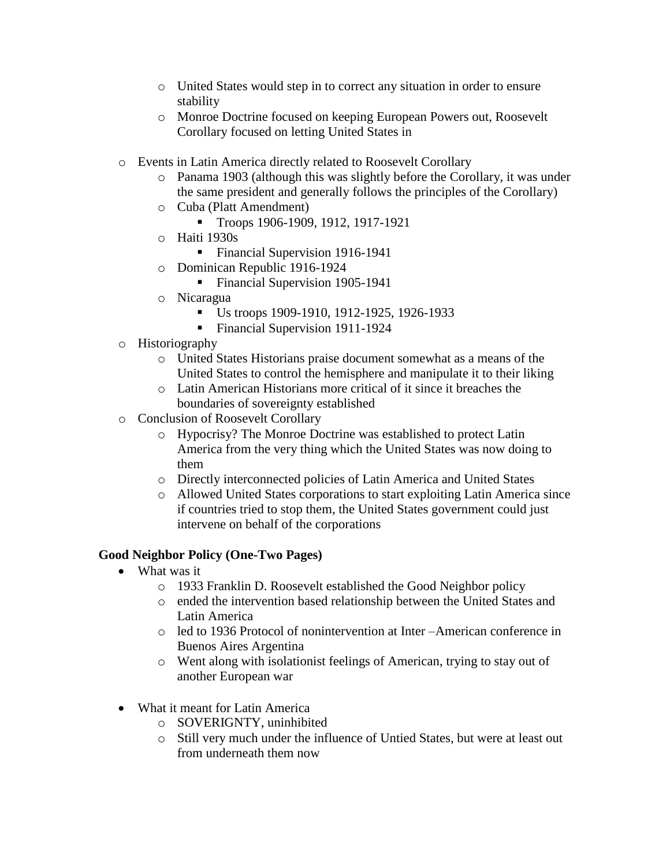- o United States would step in to correct any situation in order to ensure stability
- o Monroe Doctrine focused on keeping European Powers out, Roosevelt Corollary focused on letting United States in
- o Events in Latin America directly related to Roosevelt Corollary
	- o Panama 1903 (although this was slightly before the Corollary, it was under the same president and generally follows the principles of the Corollary)
	- o Cuba (Platt Amendment)
		- Troops 1906-1909, 1912, 1917-1921
	- o Haiti 1930s
		- Financial Supervision 1916-1941
	- o Dominican Republic 1916-1924
		- Financial Supervision 1905-1941
	- o Nicaragua
		- Us troops 1909-1910, 1912-1925, 1926-1933
		- Financial Supervision 1911-1924
- o Historiography
	- o United States Historians praise document somewhat as a means of the United States to control the hemisphere and manipulate it to their liking
	- o Latin American Historians more critical of it since it breaches the boundaries of sovereignty established
- o Conclusion of Roosevelt Corollary
	- o Hypocrisy? The Monroe Doctrine was established to protect Latin America from the very thing which the United States was now doing to them
	- o Directly interconnected policies of Latin America and United States
	- o Allowed United States corporations to start exploiting Latin America since if countries tried to stop them, the United States government could just intervene on behalf of the corporations

#### **Good Neighbor Policy (One-Two Pages)**

- What was it
	- o 1933 Franklin D. Roosevelt established the Good Neighbor policy
	- o ended the intervention based relationship between the United States and Latin America
	- o led to 1936 Protocol of nonintervention at Inter –American conference in Buenos Aires Argentina
	- o Went along with isolationist feelings of American, trying to stay out of another European war
- What it meant for Latin America
	- o SOVERIGNTY, uninhibited
	- o Still very much under the influence of Untied States, but were at least out from underneath them now